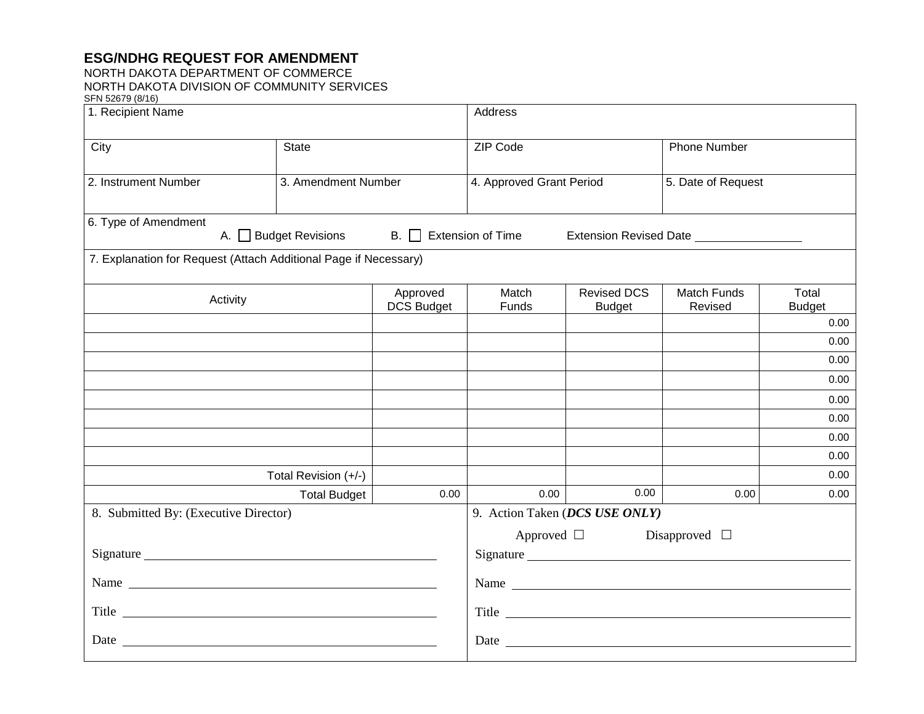## **ESG/NDHG REQUEST FOR AMENDMENT**

## NORTH DAKOTA DEPARTMENT OF COMMERCE NORTH DAKOTA DIVISION OF COMMUNITY SERVICES SFN 52679 (8/16)

| 1. Recipient Name                                                                                                                                                                                                              |                      |                               | Address                                                                                                                                                                                                                       |                                     |                        |                        |
|--------------------------------------------------------------------------------------------------------------------------------------------------------------------------------------------------------------------------------|----------------------|-------------------------------|-------------------------------------------------------------------------------------------------------------------------------------------------------------------------------------------------------------------------------|-------------------------------------|------------------------|------------------------|
| City                                                                                                                                                                                                                           | <b>State</b>         |                               | ZIP Code                                                                                                                                                                                                                      |                                     | <b>Phone Number</b>    |                        |
| 2. Instrument Number                                                                                                                                                                                                           | 3. Amendment Number  |                               | 4. Approved Grant Period                                                                                                                                                                                                      |                                     | 5. Date of Request     |                        |
| 6. Type of Amendment<br>A. Budget Revisions<br>$\mathsf{B}$ . Extension of Time<br>Extension Revised Date                                                                                                                      |                      |                               |                                                                                                                                                                                                                               |                                     |                        |                        |
| 7. Explanation for Request (Attach Additional Page if Necessary)                                                                                                                                                               |                      |                               |                                                                                                                                                                                                                               |                                     |                        |                        |
| Activity                                                                                                                                                                                                                       |                      | Approved<br><b>DCS Budget</b> | Match<br>Funds                                                                                                                                                                                                                | <b>Revised DCS</b><br><b>Budget</b> | Match Funds<br>Revised | Total<br><b>Budget</b> |
|                                                                                                                                                                                                                                |                      |                               |                                                                                                                                                                                                                               |                                     |                        | 0.00                   |
|                                                                                                                                                                                                                                |                      |                               |                                                                                                                                                                                                                               |                                     |                        | 0.00                   |
|                                                                                                                                                                                                                                |                      |                               |                                                                                                                                                                                                                               |                                     |                        | 0.00                   |
|                                                                                                                                                                                                                                |                      |                               |                                                                                                                                                                                                                               |                                     |                        | 0.00                   |
|                                                                                                                                                                                                                                |                      |                               |                                                                                                                                                                                                                               |                                     |                        | 0.00                   |
|                                                                                                                                                                                                                                |                      |                               |                                                                                                                                                                                                                               |                                     |                        | 0.00                   |
|                                                                                                                                                                                                                                |                      |                               |                                                                                                                                                                                                                               |                                     |                        | 0.00                   |
|                                                                                                                                                                                                                                |                      |                               |                                                                                                                                                                                                                               |                                     |                        | 0.00                   |
|                                                                                                                                                                                                                                | Total Revision (+/-) | 0.00                          | 0.00                                                                                                                                                                                                                          | 0.00                                | 0.00                   | 0.00<br>0.00           |
| <b>Total Budget</b><br>8. Submitted By: (Executive Director)                                                                                                                                                                   |                      |                               | 9. Action Taken (DCS USE ONLY)                                                                                                                                                                                                |                                     |                        |                        |
|                                                                                                                                                                                                                                |                      |                               |                                                                                                                                                                                                                               |                                     |                        |                        |
|                                                                                                                                                                                                                                |                      |                               | Approved $\Box$<br>Disapproved $\square$                                                                                                                                                                                      |                                     |                        |                        |
|                                                                                                                                                                                                                                |                      |                               | Signature expansion of the state of the state of the state of the state of the state of the state of the state of the state of the state of the state of the state of the state of the state of the state of the state of the |                                     |                        |                        |
| Name was a series of the series of the series of the series of the series of the series of the series of the series of the series of the series of the series of the series of the series of the series of the series of the s |                      |                               | Name                                                                                                                                                                                                                          |                                     |                        |                        |
| Title that the contract of the contract of the contract of the contract of the contract of the contract of the contract of the contract of the contract of the contract of the contract of the contract of the contract of the |                      |                               | Title                                                                                                                                                                                                                         |                                     |                        |                        |
|                                                                                                                                                                                                                                |                      |                               |                                                                                                                                                                                                                               |                                     |                        |                        |